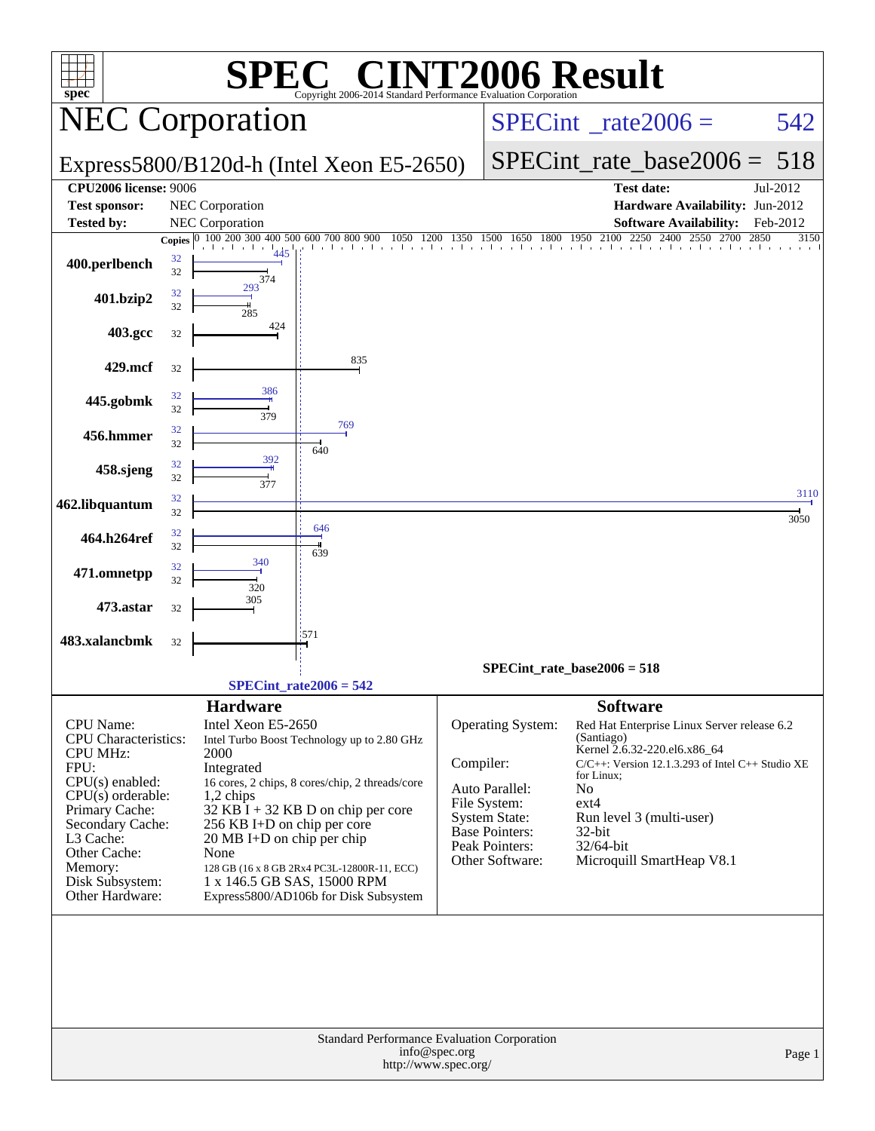| <b>INT2006 Result</b><br>$\begin{pmatrix} \mathbf{v} & \mathbf{v} \\ \mathbf{v} & \mathbf{v} \end{pmatrix}$<br>SPE)<br>$spec^*$<br>Copyright 2006-2014 Standard Performance Evaluation Corporation |          |                                                                     |                                                                      |                                          |                                                    |                            |                                                                                       |              |  |  |  |
|----------------------------------------------------------------------------------------------------------------------------------------------------------------------------------------------------|----------|---------------------------------------------------------------------|----------------------------------------------------------------------|------------------------------------------|----------------------------------------------------|----------------------------|---------------------------------------------------------------------------------------|--------------|--|--|--|
|                                                                                                                                                                                                    |          | <b>NEC</b> Corporation                                              |                                                                      | $SPECint^{\circ}$ <sub>_rate2006</sub> = |                                                    |                            | 542                                                                                   |              |  |  |  |
|                                                                                                                                                                                                    |          |                                                                     | Express5800/B120d-h (Intel Xeon E5-2650)                             |                                          |                                                    | $SPECint_rate\_base2006 =$ | 518                                                                                   |              |  |  |  |
| <b>CPU2006 license: 9006</b>                                                                                                                                                                       |          |                                                                     |                                                                      |                                          |                                                    |                            | <b>Test date:</b>                                                                     | Jul-2012     |  |  |  |
| <b>Test sponsor:</b>                                                                                                                                                                               |          | NEC Corporation                                                     |                                                                      |                                          |                                                    |                            | Hardware Availability: Jun-2012                                                       |              |  |  |  |
| <b>Tested by:</b>                                                                                                                                                                                  |          | <b>NEC</b> Corporation                                              |                                                                      |                                          |                                                    |                            | <b>Software Availability:</b>                                                         | Feb-2012     |  |  |  |
|                                                                                                                                                                                                    |          | Copies 0 100 200 300 400 500 600 700 800 900                        | 1050<br>1200                                                         |                                          | 200 1350 1500 1650 1800 1950 2100 2250 2400 2550 2 |                            | 2250 2400 2550 2700                                                                   | 2850<br>3150 |  |  |  |
| 400.perlbench                                                                                                                                                                                      | 32<br>32 | 374                                                                 |                                                                      |                                          |                                                    |                            |                                                                                       |              |  |  |  |
| 401.bzip2                                                                                                                                                                                          | 32<br>32 | 293                                                                 |                                                                      |                                          |                                                    |                            |                                                                                       |              |  |  |  |
| 403.gcc                                                                                                                                                                                            | 32       | 424                                                                 |                                                                      |                                          |                                                    |                            |                                                                                       |              |  |  |  |
| 429.mcf                                                                                                                                                                                            | 32       |                                                                     | 835                                                                  |                                          |                                                    |                            |                                                                                       |              |  |  |  |
| 445.gobmk                                                                                                                                                                                          | 32<br>32 | 386<br>379                                                          |                                                                      |                                          |                                                    |                            |                                                                                       |              |  |  |  |
| 456.hmmer                                                                                                                                                                                          | 32<br>32 | 392                                                                 | 769<br>640                                                           |                                          |                                                    |                            |                                                                                       |              |  |  |  |
| 458.sjeng                                                                                                                                                                                          | 32<br>32 | 377                                                                 |                                                                      |                                          |                                                    |                            |                                                                                       | 3110         |  |  |  |
| 462.libquantum                                                                                                                                                                                     | 32<br>32 |                                                                     | 646                                                                  |                                          |                                                    |                            |                                                                                       | 3050         |  |  |  |
| 464.h264ref                                                                                                                                                                                        | 32<br>32 | 340                                                                 | 639                                                                  |                                          |                                                    |                            |                                                                                       |              |  |  |  |
| 471.omnetpp                                                                                                                                                                                        | 32<br>32 | 320                                                                 |                                                                      |                                          |                                                    |                            |                                                                                       |              |  |  |  |
| 473.astar                                                                                                                                                                                          | 32       | 305                                                                 |                                                                      |                                          |                                                    |                            |                                                                                       |              |  |  |  |
| 483.xalancbmk                                                                                                                                                                                      | 32       |                                                                     | '571                                                                 |                                          | $SPECint_rate_base2006 = 518$                      |                            |                                                                                       |              |  |  |  |
|                                                                                                                                                                                                    |          |                                                                     | $SPECint_rate2006 = 542$                                             |                                          |                                                    |                            |                                                                                       |              |  |  |  |
|                                                                                                                                                                                                    |          | <b>Hardware</b>                                                     |                                                                      |                                          |                                                    | <b>Software</b>            |                                                                                       |              |  |  |  |
| <b>CPU</b> Name:                                                                                                                                                                                   |          | Intel Xeon E5-2650                                                  |                                                                      |                                          | Operating System:                                  |                            | Red Hat Enterprise Linux Server release 6.2                                           |              |  |  |  |
| <b>CPU</b> Characteristics:                                                                                                                                                                        |          |                                                                     | Intel Turbo Boost Technology up to 2.80 GHz                          |                                          |                                                    | (Santiago)                 |                                                                                       |              |  |  |  |
| <b>CPU MHz:</b>                                                                                                                                                                                    |          | 2000                                                                |                                                                      | Compiler:                                |                                                    |                            | Kernel 2.6.32-220.el6.x86_64<br>$C/C++$ : Version 12.1.3.293 of Intel $C++$ Studio XE |              |  |  |  |
| FPU:<br>$CPU(s)$ enabled:                                                                                                                                                                          |          | Integrated                                                          | 16 cores, 2 chips, 8 cores/chip, 2 threads/core                      |                                          |                                                    | for Linux;                 |                                                                                       |              |  |  |  |
| $CPU(s)$ orderable:                                                                                                                                                                                |          | 1,2 chips                                                           |                                                                      |                                          | Auto Parallel:<br>File System:                     | No<br>ext4                 |                                                                                       |              |  |  |  |
| Primary Cache:                                                                                                                                                                                     |          |                                                                     | $32$ KB $\overline{I}$ + 32 KB D on chip per core                    |                                          | <b>System State:</b>                               |                            | Run level 3 (multi-user)                                                              |              |  |  |  |
| Secondary Cache:<br>L3 Cache:                                                                                                                                                                      |          | 256 KB I+D on chip per core<br>$20 \text{ MB I+D}$ on chip per chip |                                                                      |                                          | Base Pointers:                                     | 32-bit                     |                                                                                       |              |  |  |  |
| Other Cache:                                                                                                                                                                                       |          | None                                                                |                                                                      |                                          | Peak Pointers:<br>Other Software:                  | 32/64-bit                  | Microquill SmartHeap V8.1                                                             |              |  |  |  |
| Memory:                                                                                                                                                                                            |          |                                                                     | 128 GB (16 x 8 GB 2Rx4 PC3L-12800R-11, ECC)                          |                                          |                                                    |                            |                                                                                       |              |  |  |  |
| Disk Subsystem:<br>Other Hardware:                                                                                                                                                                 |          |                                                                     | 1 x 146.5 GB SAS, 15000 RPM<br>Express5800/AD106b for Disk Subsystem |                                          |                                                    |                            |                                                                                       |              |  |  |  |
|                                                                                                                                                                                                    |          |                                                                     |                                                                      |                                          |                                                    |                            |                                                                                       |              |  |  |  |
|                                                                                                                                                                                                    |          |                                                                     | Standard Performance Evaluation Corporation<br>http://www.spec.org/  | info@spec.org                            |                                                    |                            |                                                                                       | Page 1       |  |  |  |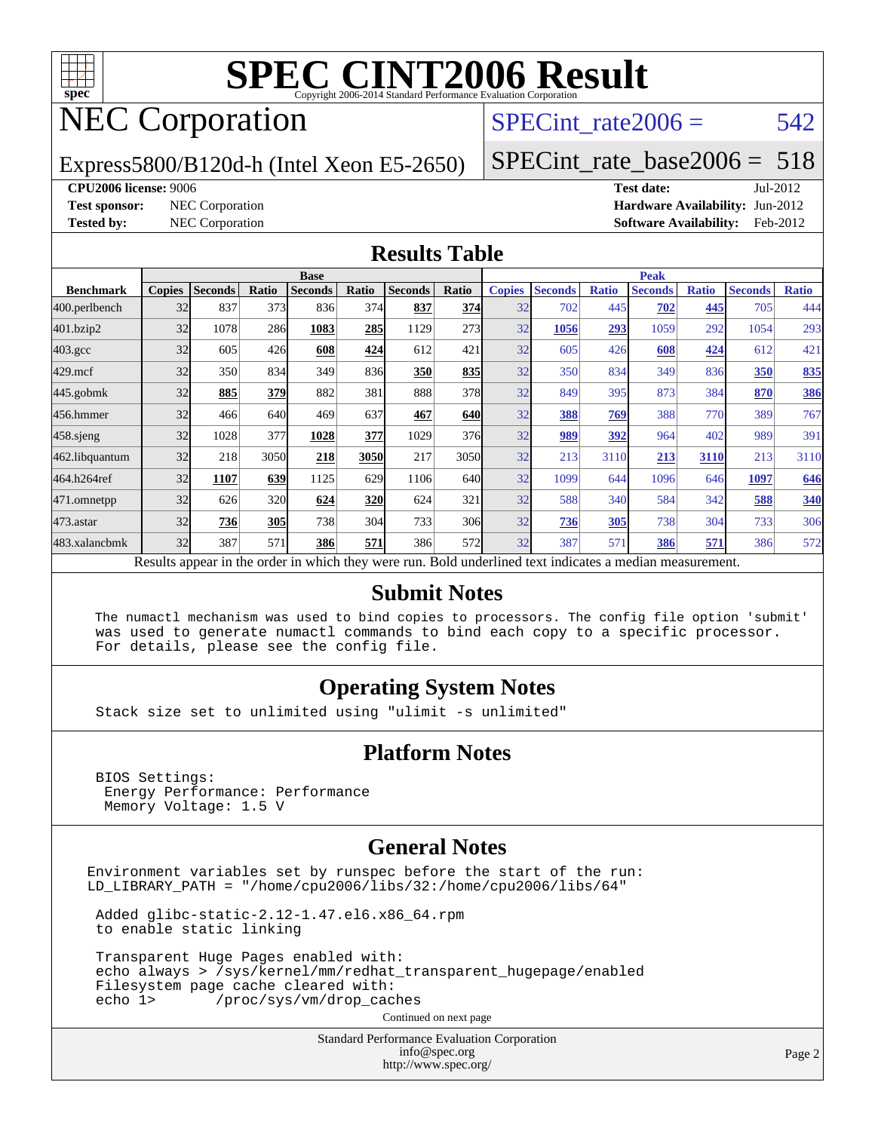

## NEC Corporation

SPECint rate $2006 = 542$ 

Express5800/B120d-h (Intel Xeon E5-2650)

[SPECint\\_rate\\_base2006 =](http://www.spec.org/auto/cpu2006/Docs/result-fields.html#SPECintratebase2006) 518

#### **[CPU2006 license:](http://www.spec.org/auto/cpu2006/Docs/result-fields.html#CPU2006license)** 9006 **[Test date:](http://www.spec.org/auto/cpu2006/Docs/result-fields.html#Testdate)** Jul-2012

**[Test sponsor:](http://www.spec.org/auto/cpu2006/Docs/result-fields.html#Testsponsor)** NEC Corporation **NEC Corporation [Hardware Availability:](http://www.spec.org/auto/cpu2006/Docs/result-fields.html#HardwareAvailability)** Jun-2012 **[Tested by:](http://www.spec.org/auto/cpu2006/Docs/result-fields.html#Testedby)** NEC Corporation **[Software Availability:](http://www.spec.org/auto/cpu2006/Docs/result-fields.html#SoftwareAvailability)** Feb-2012

#### **[Results Table](http://www.spec.org/auto/cpu2006/Docs/result-fields.html#ResultsTable)**

|                                                                                                          | <b>Base</b>   |                |            |                |       |                |            | <b>Peak</b>   |                |              |                |              |                |              |
|----------------------------------------------------------------------------------------------------------|---------------|----------------|------------|----------------|-------|----------------|------------|---------------|----------------|--------------|----------------|--------------|----------------|--------------|
| <b>Benchmark</b>                                                                                         | <b>Copies</b> | <b>Seconds</b> | Ratio      | <b>Seconds</b> | Ratio | <b>Seconds</b> | Ratio      | <b>Copies</b> | <b>Seconds</b> | <b>Ratio</b> | <b>Seconds</b> | <b>Ratio</b> | <b>Seconds</b> | <b>Ratio</b> |
| 400.perlbench                                                                                            | 32            | 837            | 373        | 836            | 374   | 837            | 374        | 32            | 702            | 445          | 702            | 445          | 705            | 444          |
| 401.bzip2                                                                                                | 32            | 1078           | 286        | 1083           | 285   | 1129           | 273        | 32            | 1056           | 293          | 1059           | 292          | 1054           | 293          |
| $403.\mathrm{gcc}$                                                                                       | 32            | 605            | 426        | 608            | 424   | 612            | 421        | 32            | 605            | 426          | 608            | 424          | 612            | 421          |
| $429$ .mcf                                                                                               | 32            | 350            | 834        | 349            | 836   | 350            | 835        | 32            | 350            | 834          | 349            | 836          | 350            | 835          |
| $445$ .gobmk                                                                                             | 32            | 885            | <u>379</u> | 882            | 381   | 888            | 378        | 32            | 849            | 395          | 873            | 384          | 870            | 386          |
| 456.hmmer                                                                                                | 32            | 466            | 640        | 469            | 637   | 467            | <b>640</b> | 32            | 388            | 769          | 388            | 770          | 389            | 767          |
| $458$ .sjeng                                                                                             | 32            | 1028           | 377        | 1028           | 377   | 1029           | 376        | 32            | 989            | 392          | 964            | 402          | 989            | 391          |
| 462.libquantum                                                                                           | 32            | 218            | 3050       | 218            | 3050  | 217            | 3050       | 32            | 213            | 3110         | 213            | 3110         | 213            | 3110         |
| 464.h264ref                                                                                              | 32            | 1107           | 639        | 1125           | 629   | 1106           | 640l       | 32            | 1099           | 644          | 1096           | 646          | 1097           | 646          |
| 471.omnetpp                                                                                              | 32            | 626            | 320        | 624            | 320   | 624            | 321        | 32            | 588            | 340          | 584            | 342          | 588            | 340          |
| $473$ . astar                                                                                            | 32            | 736            | <b>305</b> | 738            | 304   | 733            | 306        | 32            | 736            | 305          | 738            | 304          | 733            | 306          |
| 483.xalancbmk                                                                                            | 32            | 387            | 571        | 386            | 571   | 386            | 572l       | 32            | 387            | 571          | 386            | 571          | 386            | 572          |
| Results appear in the order in which they were run. Bold underlined text indicates a median measurement. |               |                |            |                |       |                |            |               |                |              |                |              |                |              |

#### **[Submit Notes](http://www.spec.org/auto/cpu2006/Docs/result-fields.html#SubmitNotes)**

 The numactl mechanism was used to bind copies to processors. The config file option 'submit' was used to generate numactl commands to bind each copy to a specific processor. For details, please see the config file.

#### **[Operating System Notes](http://www.spec.org/auto/cpu2006/Docs/result-fields.html#OperatingSystemNotes)**

Stack size set to unlimited using "ulimit -s unlimited"

#### **[Platform Notes](http://www.spec.org/auto/cpu2006/Docs/result-fields.html#PlatformNotes)**

 BIOS Settings: Energy Performance: Performance Memory Voltage: 1.5 V

#### **[General Notes](http://www.spec.org/auto/cpu2006/Docs/result-fields.html#GeneralNotes)**

Environment variables set by runspec before the start of the run: LD\_LIBRARY\_PATH = "/home/cpu2006/libs/32:/home/cpu2006/libs/64"

 Added glibc-static-2.12-1.47.el6.x86\_64.rpm to enable static linking

 Transparent Huge Pages enabled with: echo always > /sys/kernel/mm/redhat\_transparent\_hugepage/enabled Filesystem page cache cleared with:<br>echo 1> /proc/sys/ym/drop cac /proc/sys/vm/drop\_caches

Continued on next page

Standard Performance Evaluation Corporation [info@spec.org](mailto:info@spec.org) <http://www.spec.org/>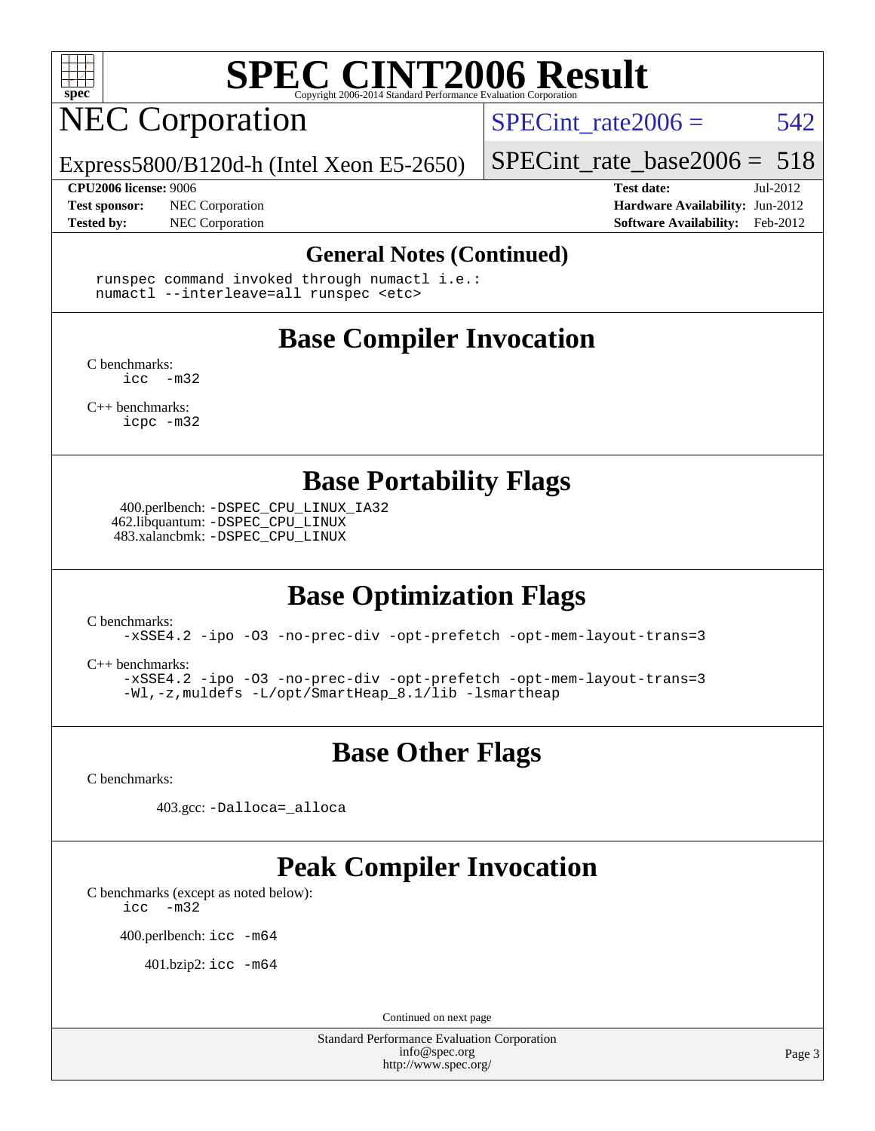

## NEC Corporation

SPECint rate $2006 = 542$ 

Express5800/B120d-h (Intel Xeon E5-2650)

[SPECint\\_rate\\_base2006 =](http://www.spec.org/auto/cpu2006/Docs/result-fields.html#SPECintratebase2006) 518

**[Test sponsor:](http://www.spec.org/auto/cpu2006/Docs/result-fields.html#Testsponsor)** NEC Corporation **NEC Corporation [Hardware Availability:](http://www.spec.org/auto/cpu2006/Docs/result-fields.html#HardwareAvailability)** Jun-2012

**[CPU2006 license:](http://www.spec.org/auto/cpu2006/Docs/result-fields.html#CPU2006license)** 9006 **[Test date:](http://www.spec.org/auto/cpu2006/Docs/result-fields.html#Testdate)** Jul-2012 **[Tested by:](http://www.spec.org/auto/cpu2006/Docs/result-fields.html#Testedby)** NEC Corporation **[Software Availability:](http://www.spec.org/auto/cpu2006/Docs/result-fields.html#SoftwareAvailability)** Feb-2012

#### **[General Notes \(Continued\)](http://www.spec.org/auto/cpu2006/Docs/result-fields.html#GeneralNotes)**

 runspec command invoked through numactl i.e.: numactl --interleave=all runspec <etc>

### **[Base Compiler Invocation](http://www.spec.org/auto/cpu2006/Docs/result-fields.html#BaseCompilerInvocation)**

[C benchmarks](http://www.spec.org/auto/cpu2006/Docs/result-fields.html#Cbenchmarks):  $inc -m32$ 

[C++ benchmarks:](http://www.spec.org/auto/cpu2006/Docs/result-fields.html#CXXbenchmarks) [icpc -m32](http://www.spec.org/cpu2006/results/res2012q3/cpu2006-20120802-24034.flags.html#user_CXXbase_intel_icpc_4e5a5ef1a53fd332b3c49e69c3330699)

**[Base Portability Flags](http://www.spec.org/auto/cpu2006/Docs/result-fields.html#BasePortabilityFlags)**

 400.perlbench: [-DSPEC\\_CPU\\_LINUX\\_IA32](http://www.spec.org/cpu2006/results/res2012q3/cpu2006-20120802-24034.flags.html#b400.perlbench_baseCPORTABILITY_DSPEC_CPU_LINUX_IA32) 462.libquantum: [-DSPEC\\_CPU\\_LINUX](http://www.spec.org/cpu2006/results/res2012q3/cpu2006-20120802-24034.flags.html#b462.libquantum_baseCPORTABILITY_DSPEC_CPU_LINUX) 483.xalancbmk: [-DSPEC\\_CPU\\_LINUX](http://www.spec.org/cpu2006/results/res2012q3/cpu2006-20120802-24034.flags.html#b483.xalancbmk_baseCXXPORTABILITY_DSPEC_CPU_LINUX)

#### **[Base Optimization Flags](http://www.spec.org/auto/cpu2006/Docs/result-fields.html#BaseOptimizationFlags)**

[C benchmarks](http://www.spec.org/auto/cpu2006/Docs/result-fields.html#Cbenchmarks):

[-xSSE4.2](http://www.spec.org/cpu2006/results/res2012q3/cpu2006-20120802-24034.flags.html#user_CCbase_f-xSSE42_f91528193cf0b216347adb8b939d4107) [-ipo](http://www.spec.org/cpu2006/results/res2012q3/cpu2006-20120802-24034.flags.html#user_CCbase_f-ipo) [-O3](http://www.spec.org/cpu2006/results/res2012q3/cpu2006-20120802-24034.flags.html#user_CCbase_f-O3) [-no-prec-div](http://www.spec.org/cpu2006/results/res2012q3/cpu2006-20120802-24034.flags.html#user_CCbase_f-no-prec-div) [-opt-prefetch](http://www.spec.org/cpu2006/results/res2012q3/cpu2006-20120802-24034.flags.html#user_CCbase_f-opt-prefetch) [-opt-mem-layout-trans=3](http://www.spec.org/cpu2006/results/res2012q3/cpu2006-20120802-24034.flags.html#user_CCbase_f-opt-mem-layout-trans_a7b82ad4bd7abf52556d4961a2ae94d5)

[C++ benchmarks:](http://www.spec.org/auto/cpu2006/Docs/result-fields.html#CXXbenchmarks)

[-xSSE4.2](http://www.spec.org/cpu2006/results/res2012q3/cpu2006-20120802-24034.flags.html#user_CXXbase_f-xSSE42_f91528193cf0b216347adb8b939d4107) [-ipo](http://www.spec.org/cpu2006/results/res2012q3/cpu2006-20120802-24034.flags.html#user_CXXbase_f-ipo) [-O3](http://www.spec.org/cpu2006/results/res2012q3/cpu2006-20120802-24034.flags.html#user_CXXbase_f-O3) [-no-prec-div](http://www.spec.org/cpu2006/results/res2012q3/cpu2006-20120802-24034.flags.html#user_CXXbase_f-no-prec-div) [-opt-prefetch](http://www.spec.org/cpu2006/results/res2012q3/cpu2006-20120802-24034.flags.html#user_CXXbase_f-opt-prefetch) [-opt-mem-layout-trans=3](http://www.spec.org/cpu2006/results/res2012q3/cpu2006-20120802-24034.flags.html#user_CXXbase_f-opt-mem-layout-trans_a7b82ad4bd7abf52556d4961a2ae94d5) [-Wl,-z,muldefs](http://www.spec.org/cpu2006/results/res2012q3/cpu2006-20120802-24034.flags.html#user_CXXbase_link_force_multiple1_74079c344b956b9658436fd1b6dd3a8a) [-L/opt/SmartHeap\\_8.1/lib -lsmartheap](http://www.spec.org/cpu2006/results/res2012q3/cpu2006-20120802-24034.flags.html#user_CXXbase_SmartHeap_d5ba4dfc9de25d3c657c7de7476e66c5)

#### **[Base Other Flags](http://www.spec.org/auto/cpu2006/Docs/result-fields.html#BaseOtherFlags)**

[C benchmarks](http://www.spec.org/auto/cpu2006/Docs/result-fields.html#Cbenchmarks):

403.gcc: [-Dalloca=\\_alloca](http://www.spec.org/cpu2006/results/res2012q3/cpu2006-20120802-24034.flags.html#b403.gcc_baseEXTRA_CFLAGS_Dalloca_be3056838c12de2578596ca5467af7f3)

### **[Peak Compiler Invocation](http://www.spec.org/auto/cpu2006/Docs/result-fields.html#PeakCompilerInvocation)**

[C benchmarks \(except as noted below\)](http://www.spec.org/auto/cpu2006/Docs/result-fields.html#Cbenchmarksexceptasnotedbelow):

[icc -m32](http://www.spec.org/cpu2006/results/res2012q3/cpu2006-20120802-24034.flags.html#user_CCpeak_intel_icc_5ff4a39e364c98233615fdd38438c6f2)

400.perlbench: [icc -m64](http://www.spec.org/cpu2006/results/res2012q3/cpu2006-20120802-24034.flags.html#user_peakCCLD400_perlbench_intel_icc_64bit_bda6cc9af1fdbb0edc3795bac97ada53)

401.bzip2: [icc -m64](http://www.spec.org/cpu2006/results/res2012q3/cpu2006-20120802-24034.flags.html#user_peakCCLD401_bzip2_intel_icc_64bit_bda6cc9af1fdbb0edc3795bac97ada53)

Continued on next page

Standard Performance Evaluation Corporation [info@spec.org](mailto:info@spec.org) <http://www.spec.org/>

Page 3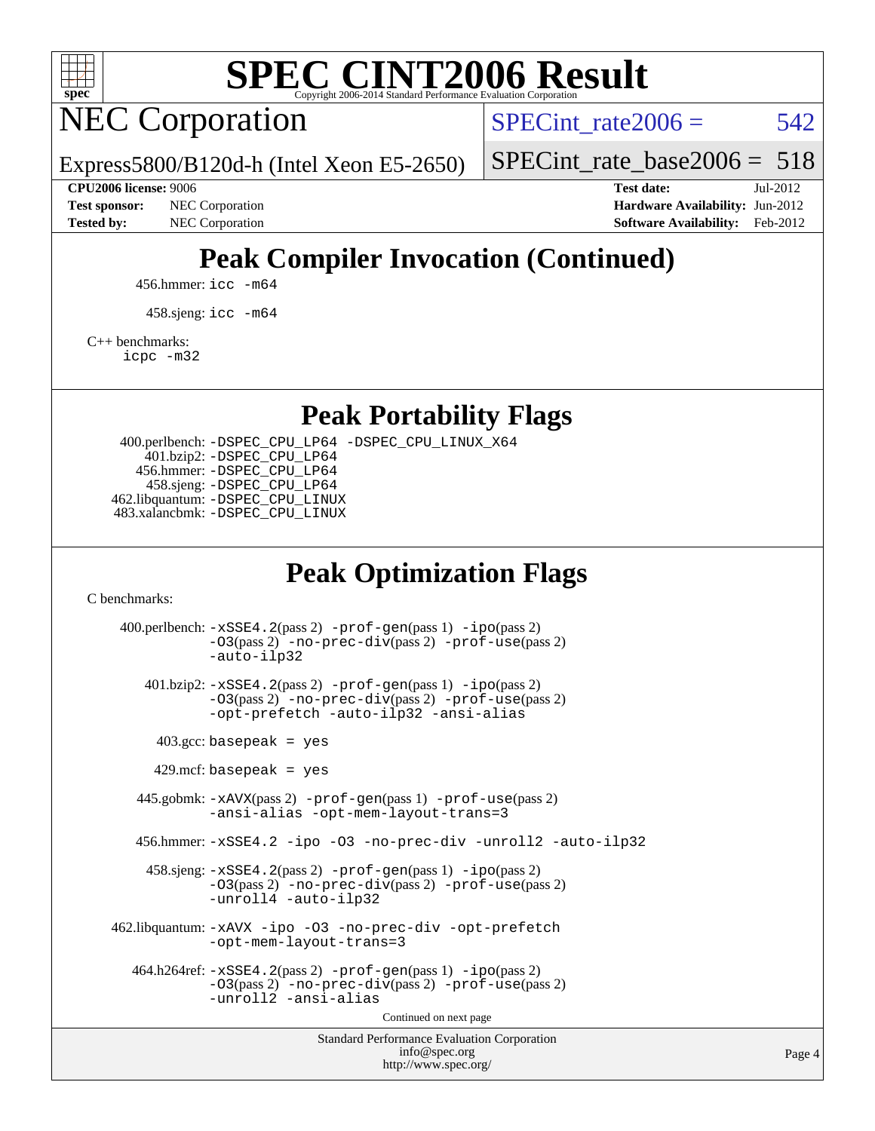

NEC Corporation

SPECint rate $2006 = 542$ 

Express5800/B120d-h (Intel Xeon E5-2650)

[SPECint\\_rate\\_base2006 =](http://www.spec.org/auto/cpu2006/Docs/result-fields.html#SPECintratebase2006) 518

**[CPU2006 license:](http://www.spec.org/auto/cpu2006/Docs/result-fields.html#CPU2006license)** 9006 **[Test date:](http://www.spec.org/auto/cpu2006/Docs/result-fields.html#Testdate)** Jul-2012 **[Test sponsor:](http://www.spec.org/auto/cpu2006/Docs/result-fields.html#Testsponsor)** NEC Corporation **NEC Corporation [Hardware Availability:](http://www.spec.org/auto/cpu2006/Docs/result-fields.html#HardwareAvailability)** Jun-2012 **[Tested by:](http://www.spec.org/auto/cpu2006/Docs/result-fields.html#Testedby)** NEC Corporation **[Software Availability:](http://www.spec.org/auto/cpu2006/Docs/result-fields.html#SoftwareAvailability)** Feb-2012

## **[Peak Compiler Invocation \(Continued\)](http://www.spec.org/auto/cpu2006/Docs/result-fields.html#PeakCompilerInvocation)**

456.hmmer: [icc -m64](http://www.spec.org/cpu2006/results/res2012q3/cpu2006-20120802-24034.flags.html#user_peakCCLD456_hmmer_intel_icc_64bit_bda6cc9af1fdbb0edc3795bac97ada53)

458.sjeng: [icc -m64](http://www.spec.org/cpu2006/results/res2012q3/cpu2006-20120802-24034.flags.html#user_peakCCLD458_sjeng_intel_icc_64bit_bda6cc9af1fdbb0edc3795bac97ada53)

[C++ benchmarks:](http://www.spec.org/auto/cpu2006/Docs/result-fields.html#CXXbenchmarks)

[icpc -m32](http://www.spec.org/cpu2006/results/res2012q3/cpu2006-20120802-24034.flags.html#user_CXXpeak_intel_icpc_4e5a5ef1a53fd332b3c49e69c3330699)

**[Peak Portability Flags](http://www.spec.org/auto/cpu2006/Docs/result-fields.html#PeakPortabilityFlags)**

 400.perlbench: [-DSPEC\\_CPU\\_LP64](http://www.spec.org/cpu2006/results/res2012q3/cpu2006-20120802-24034.flags.html#b400.perlbench_peakCPORTABILITY_DSPEC_CPU_LP64) [-DSPEC\\_CPU\\_LINUX\\_X64](http://www.spec.org/cpu2006/results/res2012q3/cpu2006-20120802-24034.flags.html#b400.perlbench_peakCPORTABILITY_DSPEC_CPU_LINUX_X64) 401.bzip2: [-DSPEC\\_CPU\\_LP64](http://www.spec.org/cpu2006/results/res2012q3/cpu2006-20120802-24034.flags.html#suite_peakCPORTABILITY401_bzip2_DSPEC_CPU_LP64) 456.hmmer: [-DSPEC\\_CPU\\_LP64](http://www.spec.org/cpu2006/results/res2012q3/cpu2006-20120802-24034.flags.html#suite_peakCPORTABILITY456_hmmer_DSPEC_CPU_LP64) 458.sjeng: [-DSPEC\\_CPU\\_LP64](http://www.spec.org/cpu2006/results/res2012q3/cpu2006-20120802-24034.flags.html#suite_peakCPORTABILITY458_sjeng_DSPEC_CPU_LP64) 462.libquantum: [-DSPEC\\_CPU\\_LINUX](http://www.spec.org/cpu2006/results/res2012q3/cpu2006-20120802-24034.flags.html#b462.libquantum_peakCPORTABILITY_DSPEC_CPU_LINUX) 483.xalancbmk: [-DSPEC\\_CPU\\_LINUX](http://www.spec.org/cpu2006/results/res2012q3/cpu2006-20120802-24034.flags.html#b483.xalancbmk_peakCXXPORTABILITY_DSPEC_CPU_LINUX)

#### **[Peak Optimization Flags](http://www.spec.org/auto/cpu2006/Docs/result-fields.html#PeakOptimizationFlags)**

[C benchmarks](http://www.spec.org/auto/cpu2006/Docs/result-fields.html#Cbenchmarks):

Standard Performance Evaluation Corporation [info@spec.org](mailto:info@spec.org) 400.perlbench: [-xSSE4.2](http://www.spec.org/cpu2006/results/res2012q3/cpu2006-20120802-24034.flags.html#user_peakPASS2_CFLAGSPASS2_LDCFLAGS400_perlbench_f-xSSE42_f91528193cf0b216347adb8b939d4107)(pass 2) [-prof-gen](http://www.spec.org/cpu2006/results/res2012q3/cpu2006-20120802-24034.flags.html#user_peakPASS1_CFLAGSPASS1_LDCFLAGS400_perlbench_prof_gen_e43856698f6ca7b7e442dfd80e94a8fc)(pass 1) [-ipo](http://www.spec.org/cpu2006/results/res2012q3/cpu2006-20120802-24034.flags.html#user_peakPASS2_CFLAGSPASS2_LDCFLAGS400_perlbench_f-ipo)(pass 2) [-O3](http://www.spec.org/cpu2006/results/res2012q3/cpu2006-20120802-24034.flags.html#user_peakPASS2_CFLAGSPASS2_LDCFLAGS400_perlbench_f-O3)(pass 2) [-no-prec-div](http://www.spec.org/cpu2006/results/res2012q3/cpu2006-20120802-24034.flags.html#user_peakPASS2_CFLAGSPASS2_LDCFLAGS400_perlbench_f-no-prec-div)(pass 2) [-prof-use](http://www.spec.org/cpu2006/results/res2012q3/cpu2006-20120802-24034.flags.html#user_peakPASS2_CFLAGSPASS2_LDCFLAGS400_perlbench_prof_use_bccf7792157ff70d64e32fe3e1250b55)(pass 2) [-auto-ilp32](http://www.spec.org/cpu2006/results/res2012q3/cpu2006-20120802-24034.flags.html#user_peakCOPTIMIZE400_perlbench_f-auto-ilp32) 401.bzip2: [-xSSE4.2](http://www.spec.org/cpu2006/results/res2012q3/cpu2006-20120802-24034.flags.html#user_peakPASS2_CFLAGSPASS2_LDCFLAGS401_bzip2_f-xSSE42_f91528193cf0b216347adb8b939d4107)(pass 2) [-prof-gen](http://www.spec.org/cpu2006/results/res2012q3/cpu2006-20120802-24034.flags.html#user_peakPASS1_CFLAGSPASS1_LDCFLAGS401_bzip2_prof_gen_e43856698f6ca7b7e442dfd80e94a8fc)(pass 1) [-ipo](http://www.spec.org/cpu2006/results/res2012q3/cpu2006-20120802-24034.flags.html#user_peakPASS2_CFLAGSPASS2_LDCFLAGS401_bzip2_f-ipo)(pass 2) [-O3](http://www.spec.org/cpu2006/results/res2012q3/cpu2006-20120802-24034.flags.html#user_peakPASS2_CFLAGSPASS2_LDCFLAGS401_bzip2_f-O3)(pass 2) [-no-prec-div](http://www.spec.org/cpu2006/results/res2012q3/cpu2006-20120802-24034.flags.html#user_peakPASS2_CFLAGSPASS2_LDCFLAGS401_bzip2_f-no-prec-div)(pass 2) [-prof-use](http://www.spec.org/cpu2006/results/res2012q3/cpu2006-20120802-24034.flags.html#user_peakPASS2_CFLAGSPASS2_LDCFLAGS401_bzip2_prof_use_bccf7792157ff70d64e32fe3e1250b55)(pass 2) [-opt-prefetch](http://www.spec.org/cpu2006/results/res2012q3/cpu2006-20120802-24034.flags.html#user_peakCOPTIMIZE401_bzip2_f-opt-prefetch) [-auto-ilp32](http://www.spec.org/cpu2006/results/res2012q3/cpu2006-20120802-24034.flags.html#user_peakCOPTIMIZE401_bzip2_f-auto-ilp32) [-ansi-alias](http://www.spec.org/cpu2006/results/res2012q3/cpu2006-20120802-24034.flags.html#user_peakCOPTIMIZE401_bzip2_f-ansi-alias)  $403.\text{gcc: basepeak}$  = yes  $429$ .mcf: basepeak = yes 445.gobmk: [-xAVX](http://www.spec.org/cpu2006/results/res2012q3/cpu2006-20120802-24034.flags.html#user_peakPASS2_CFLAGSPASS2_LDCFLAGS445_gobmk_f-xAVX)(pass 2) [-prof-gen](http://www.spec.org/cpu2006/results/res2012q3/cpu2006-20120802-24034.flags.html#user_peakPASS1_CFLAGSPASS1_LDCFLAGS445_gobmk_prof_gen_e43856698f6ca7b7e442dfd80e94a8fc)(pass 1) [-prof-use](http://www.spec.org/cpu2006/results/res2012q3/cpu2006-20120802-24034.flags.html#user_peakPASS2_CFLAGSPASS2_LDCFLAGS445_gobmk_prof_use_bccf7792157ff70d64e32fe3e1250b55)(pass 2) [-ansi-alias](http://www.spec.org/cpu2006/results/res2012q3/cpu2006-20120802-24034.flags.html#user_peakCOPTIMIZE445_gobmk_f-ansi-alias) [-opt-mem-layout-trans=3](http://www.spec.org/cpu2006/results/res2012q3/cpu2006-20120802-24034.flags.html#user_peakCOPTIMIZE445_gobmk_f-opt-mem-layout-trans_a7b82ad4bd7abf52556d4961a2ae94d5) 456.hmmer: [-xSSE4.2](http://www.spec.org/cpu2006/results/res2012q3/cpu2006-20120802-24034.flags.html#user_peakCOPTIMIZE456_hmmer_f-xSSE42_f91528193cf0b216347adb8b939d4107) [-ipo](http://www.spec.org/cpu2006/results/res2012q3/cpu2006-20120802-24034.flags.html#user_peakCOPTIMIZE456_hmmer_f-ipo) [-O3](http://www.spec.org/cpu2006/results/res2012q3/cpu2006-20120802-24034.flags.html#user_peakCOPTIMIZE456_hmmer_f-O3) [-no-prec-div](http://www.spec.org/cpu2006/results/res2012q3/cpu2006-20120802-24034.flags.html#user_peakCOPTIMIZE456_hmmer_f-no-prec-div) [-unroll2](http://www.spec.org/cpu2006/results/res2012q3/cpu2006-20120802-24034.flags.html#user_peakCOPTIMIZE456_hmmer_f-unroll_784dae83bebfb236979b41d2422d7ec2) [-auto-ilp32](http://www.spec.org/cpu2006/results/res2012q3/cpu2006-20120802-24034.flags.html#user_peakCOPTIMIZE456_hmmer_f-auto-ilp32) 458.sjeng: [-xSSE4.2](http://www.spec.org/cpu2006/results/res2012q3/cpu2006-20120802-24034.flags.html#user_peakPASS2_CFLAGSPASS2_LDCFLAGS458_sjeng_f-xSSE42_f91528193cf0b216347adb8b939d4107)(pass 2) [-prof-gen](http://www.spec.org/cpu2006/results/res2012q3/cpu2006-20120802-24034.flags.html#user_peakPASS1_CFLAGSPASS1_LDCFLAGS458_sjeng_prof_gen_e43856698f6ca7b7e442dfd80e94a8fc)(pass 1) [-ipo](http://www.spec.org/cpu2006/results/res2012q3/cpu2006-20120802-24034.flags.html#user_peakPASS2_CFLAGSPASS2_LDCFLAGS458_sjeng_f-ipo)(pass 2) [-O3](http://www.spec.org/cpu2006/results/res2012q3/cpu2006-20120802-24034.flags.html#user_peakPASS2_CFLAGSPASS2_LDCFLAGS458_sjeng_f-O3)(pass 2) [-no-prec-div](http://www.spec.org/cpu2006/results/res2012q3/cpu2006-20120802-24034.flags.html#user_peakPASS2_CFLAGSPASS2_LDCFLAGS458_sjeng_f-no-prec-div)(pass 2) [-prof-use](http://www.spec.org/cpu2006/results/res2012q3/cpu2006-20120802-24034.flags.html#user_peakPASS2_CFLAGSPASS2_LDCFLAGS458_sjeng_prof_use_bccf7792157ff70d64e32fe3e1250b55)(pass 2) [-unroll4](http://www.spec.org/cpu2006/results/res2012q3/cpu2006-20120802-24034.flags.html#user_peakCOPTIMIZE458_sjeng_f-unroll_4e5e4ed65b7fd20bdcd365bec371b81f) [-auto-ilp32](http://www.spec.org/cpu2006/results/res2012q3/cpu2006-20120802-24034.flags.html#user_peakCOPTIMIZE458_sjeng_f-auto-ilp32) 462.libquantum: [-xAVX](http://www.spec.org/cpu2006/results/res2012q3/cpu2006-20120802-24034.flags.html#user_peakCOPTIMIZE462_libquantum_f-xAVX) [-ipo](http://www.spec.org/cpu2006/results/res2012q3/cpu2006-20120802-24034.flags.html#user_peakCOPTIMIZE462_libquantum_f-ipo) [-O3](http://www.spec.org/cpu2006/results/res2012q3/cpu2006-20120802-24034.flags.html#user_peakCOPTIMIZE462_libquantum_f-O3) [-no-prec-div](http://www.spec.org/cpu2006/results/res2012q3/cpu2006-20120802-24034.flags.html#user_peakCOPTIMIZE462_libquantum_f-no-prec-div) [-opt-prefetch](http://www.spec.org/cpu2006/results/res2012q3/cpu2006-20120802-24034.flags.html#user_peakCOPTIMIZE462_libquantum_f-opt-prefetch) [-opt-mem-layout-trans=3](http://www.spec.org/cpu2006/results/res2012q3/cpu2006-20120802-24034.flags.html#user_peakCOPTIMIZE462_libquantum_f-opt-mem-layout-trans_a7b82ad4bd7abf52556d4961a2ae94d5)  $464.h264$ ref:  $-xSSE4$ .  $2(pass 2)$  [-prof-gen](http://www.spec.org/cpu2006/results/res2012q3/cpu2006-20120802-24034.flags.html#user_peakPASS1_CFLAGSPASS1_LDCFLAGS464_h264ref_prof_gen_e43856698f6ca7b7e442dfd80e94a8fc)(pass 1) [-ipo](http://www.spec.org/cpu2006/results/res2012q3/cpu2006-20120802-24034.flags.html#user_peakPASS2_CFLAGSPASS2_LDCFLAGS464_h264ref_f-ipo)(pass 2) [-O3](http://www.spec.org/cpu2006/results/res2012q3/cpu2006-20120802-24034.flags.html#user_peakPASS2_CFLAGSPASS2_LDCFLAGS464_h264ref_f-O3)(pass 2) [-no-prec-div](http://www.spec.org/cpu2006/results/res2012q3/cpu2006-20120802-24034.flags.html#user_peakPASS2_CFLAGSPASS2_LDCFLAGS464_h264ref_f-no-prec-div)(pass 2) [-prof-use](http://www.spec.org/cpu2006/results/res2012q3/cpu2006-20120802-24034.flags.html#user_peakPASS2_CFLAGSPASS2_LDCFLAGS464_h264ref_prof_use_bccf7792157ff70d64e32fe3e1250b55)(pass 2) [-unroll2](http://www.spec.org/cpu2006/results/res2012q3/cpu2006-20120802-24034.flags.html#user_peakCOPTIMIZE464_h264ref_f-unroll_784dae83bebfb236979b41d2422d7ec2) [-ansi-alias](http://www.spec.org/cpu2006/results/res2012q3/cpu2006-20120802-24034.flags.html#user_peakCOPTIMIZE464_h264ref_f-ansi-alias) Continued on next page